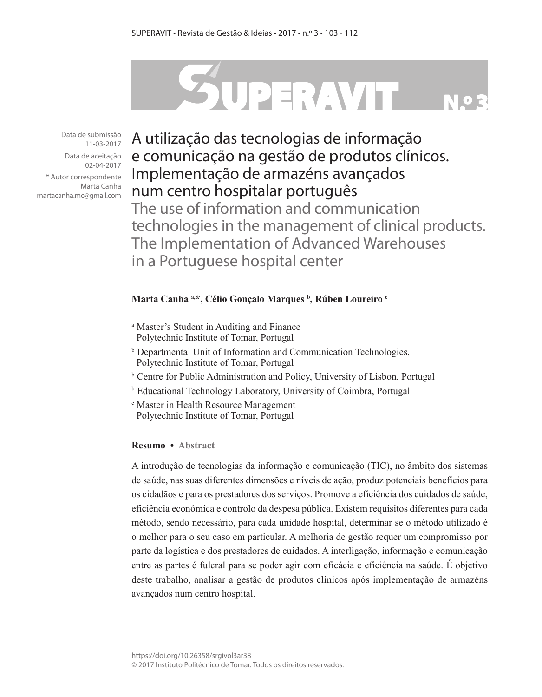# SUPERAVIT

Data de submissão 11-03-2017

Data de aceitação 02-04-2017

\* Autor correspondente Marta Canha martacanha.mc@gmail.com

A utilização das tecnologias de informação e comunicação na gestão de produtos clínicos. Implementação de armazéns avançados num centro hospitalar português

The use of information and communication technologies in the management of clinical products. The Implementation of Advanced Warehouses in a Portuguese hospital center

## **Marta Canha a,\*, Célio Gonçalo Marques b , Rúben Loureiro c**

- a Master's Student in Auditing and Finance Polytechnic Institute of Tomar, Portugal
- b Departmental Unit of Information and Communication Technologies, Polytechnic Institute of Tomar, Portugal
- b Centre for Public Administration and Policy, University of Lisbon, Portugal
- b Educational Technology Laboratory, University of Coimbra, Portugal
- <sup>c</sup> Master in Health Resource Management Polytechnic Institute of Tomar, Portugal

## **Resumo • Abstract**

A introdução de tecnologias da informação e comunicação (TIC), no âmbito dos sistemas de saúde, nas suas diferentes dimensões e níveis de ação, produz potenciais benefícios para os cidadãos e para os prestadores dos serviços. Promove a eficiência dos cuidados de saúde, eficiência económica e controlo da despesa pública. Existem requisitos diferentes para cada método, sendo necessário, para cada unidade hospital, determinar se o método utilizado é o melhor para o seu caso em particular. A melhoria de gestão requer um compromisso por parte da logística e dos prestadores de cuidados. A interligação, informação e comunicação entre as partes é fulcral para se poder agir com eficácia e eficiência na saúde. É objetivo deste trabalho, analisar a gestão de produtos clínicos após implementação de armazéns avançados num centro hospital.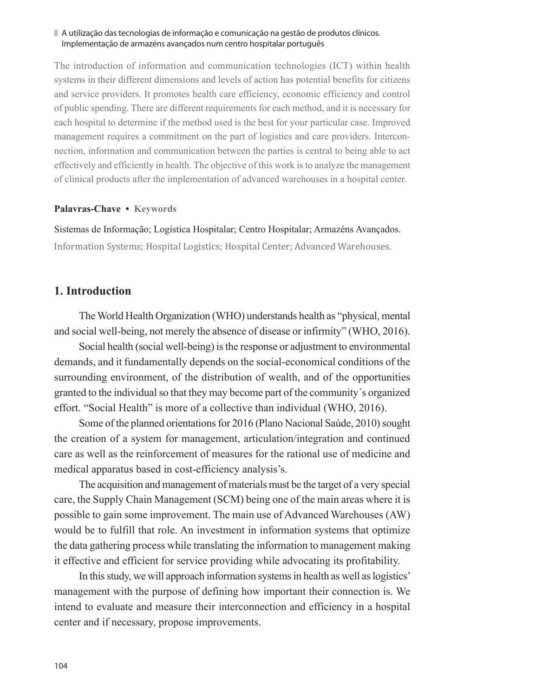### A utilização das tecnologias de informação e comunicação na gestão de produtos clínicos. Implementação de armazéns avançados num centro hospitalar português

The introduction of information and communication technologies (ICT) within health systems in their different dimensions and levels of action has potential benefits for citizens and service providers. It promotes health care efficiency, economic efficiency and control of public spending. There are different requirements for each method, and it is necessary for each hospital to determine if the method used is the best for your particular case. Improved management requires a commitment on the part of logistics and care providers. Interconnection, information and communication between the parties is central to being able to act effectively and efficiently in health. The objective of this work is to analyze the management of clinical products after the implementation of advanced warehouses in a hospital center.

## **Palavras-Chave • Keywords**

Sistemas de Informação; Logística Hospitalar; Centro Hospitalar; Armazéns Avançados. Information Systems; Hospital Logistics; Hospital Center; Advanced Warehouses.

# **1. Introduction**

The World Health Organization (WHO) understands health as "physical, mental and social well-being, not merely the absence of disease or infirmity" (WHO, 2016).

Social health (social well-being) is the response or adjustment to environmental demands, and it fundamentally depends on the social-economical conditions of the surrounding environment, of the distribution of wealth, and of the opportunities granted to the individual so that they may become part of the community´s organized effort. "Social Health" is more of a collective than individual (WHO, 2016).

Some of the planned orientations for 2016 (Plano Nacional Saúde, 2010) sought the creation of a system for management, articulation/integration and continued care as well as the reinforcement of measures for the rational use of medicine and medical apparatus based in cost-efficiency analysis's.

The acquisition and management of materials must be the target of a very special care, the Supply Chain Management (SCM) being one of the main areas where it is possible to gain some improvement. The main use of Advanced Warehouses (AW) would be to fulfill that role. An investment in information systems that optimize the data gathering process while translating the information to management making it effective and efficient for service providing while advocating its profitability.

In this study, we will approach information systems in health as well as logistics' management with the purpose of defining how important their connection is. We intend to evaluate and measure their interconnection and efficiency in a hospital center and if necessary, propose improvements.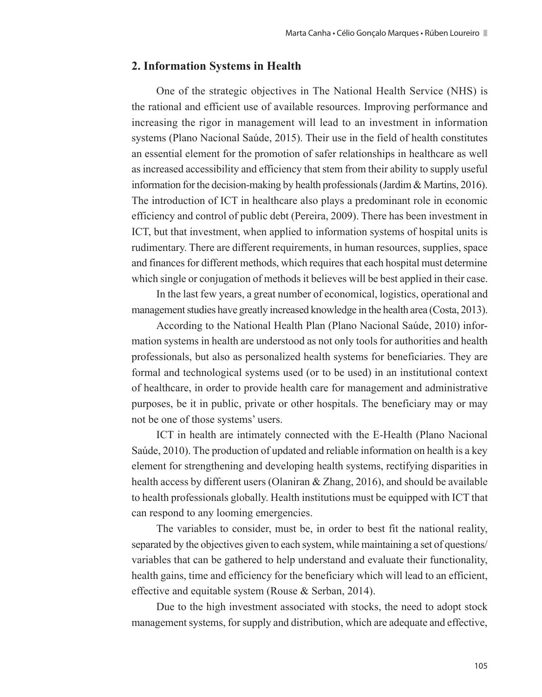# **2. Information Systems in Health**

One of the strategic objectives in The National Health Service (NHS) is the rational and efficient use of available resources. Improving performance and increasing the rigor in management will lead to an investment in information systems (Plano Nacional Saúde, 2015). Their use in the field of health constitutes an essential element for the promotion of safer relationships in healthcare as well as increased accessibility and efficiency that stem from their ability to supply useful information for the decision-making by health professionals (Jardim & Martins, 2016). The introduction of ICT in healthcare also plays a predominant role in economic efficiency and control of public debt (Pereira, 2009). There has been investment in ICT, but that investment, when applied to information systems of hospital units is rudimentary. There are different requirements, in human resources, supplies, space and finances for different methods, which requires that each hospital must determine which single or conjugation of methods it believes will be best applied in their case.

In the last few years, a great number of economical, logistics, operational and management studies have greatly increased knowledge in the health area (Costa, 2013).

According to the National Health Plan (Plano Nacional Saúde, 2010) information systems in health are understood as not only tools for authorities and health professionals, but also as personalized health systems for beneficiaries. They are formal and technological systems used (or to be used) in an institutional context of healthcare, in order to provide health care for management and administrative purposes, be it in public, private or other hospitals. The beneficiary may or may not be one of those systems' users.

ICT in health are intimately connected with the E-Health (Plano Nacional Saúde, 2010). The production of updated and reliable information on health is a key element for strengthening and developing health systems, rectifying disparities in health access by different users (Olaniran & Zhang, 2016), and should be available to health professionals globally. Health institutions must be equipped with ICT that can respond to any looming emergencies.

The variables to consider, must be, in order to best fit the national reality, separated by the objectives given to each system, while maintaining a set of questions/ variables that can be gathered to help understand and evaluate their functionality, health gains, time and efficiency for the beneficiary which will lead to an efficient, effective and equitable system (Rouse & Serban, 2014).

Due to the high investment associated with stocks, the need to adopt stock management systems, for supply and distribution, which are adequate and effective,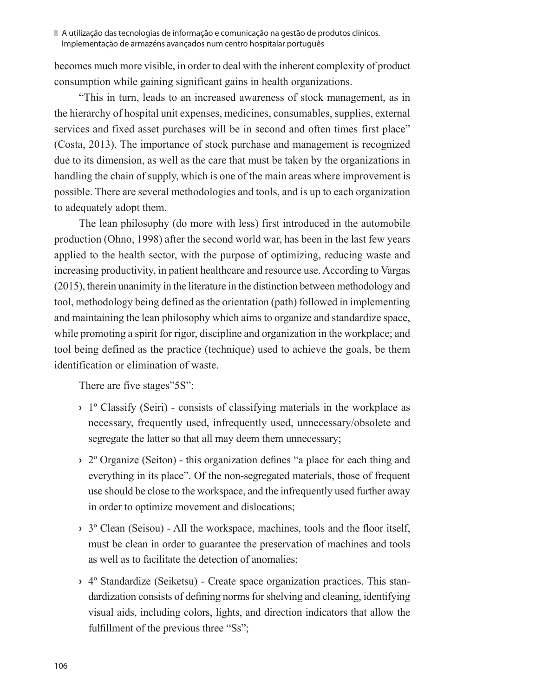becomes much more visible, in order to deal with the inherent complexity of product consumption while gaining significant gains in health organizations.

"This in turn, leads to an increased awareness of stock management, as in the hierarchy of hospital unit expenses, medicines, consumables, supplies, external services and fixed asset purchases will be in second and often times first place" (Costa, 2013). The importance of stock purchase and management is recognized due to its dimension, as well as the care that must be taken by the organizations in handling the chain of supply, which is one of the main areas where improvement is possible. There are several methodologies and tools, and is up to each organization to adequately adopt them.

The lean philosophy (do more with less) first introduced in the automobile production (Ohno, 1998) after the second world war, has been in the last few years applied to the health sector, with the purpose of optimizing, reducing waste and increasing productivity, in patient healthcare and resource use. According to Vargas (2015), therein unanimity in the literature in the distinction between methodology and tool, methodology being defined as the orientation (path) followed in implementing and maintaining the lean philosophy which aims to organize and standardize space, while promoting a spirit for rigor, discipline and organization in the workplace; and tool being defined as the practice (technique) used to achieve the goals, be them identification or elimination of waste.

There are five stages"5S":

- **›** 1º Classify (Seiri) consists of classifying materials in the workplace as necessary, frequently used, infrequently used, unnecessary/obsolete and segregate the latter so that all may deem them unnecessary;
- **›** 2º Organize (Seiton) this organization defines "a place for each thing and everything in its place". Of the non-segregated materials, those of frequent use should be close to the workspace, and the infrequently used further away in order to optimize movement and dislocations;
- **›** 3º Clean (Seisou) All the workspace, machines, tools and the floor itself, must be clean in order to guarantee the preservation of machines and tools as well as to facilitate the detection of anomalies;
- **›** 4º Standardize (Seiketsu) Create space organization practices. This standardization consists of defining norms for shelving and cleaning, identifying visual aids, including colors, lights, and direction indicators that allow the fulfillment of the previous three "Ss";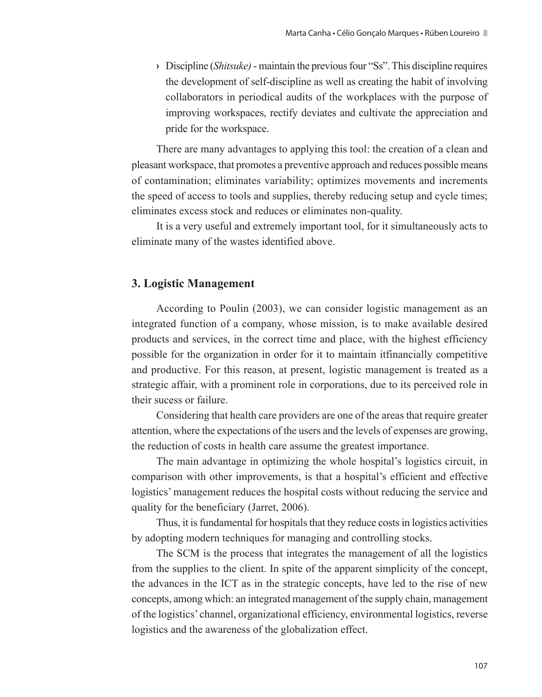**›** Discipline (*Shitsuke)* - maintain the previous four "Ss". This discipline requires the development of self-discipline as well as creating the habit of involving collaborators in periodical audits of the workplaces with the purpose of improving workspaces, rectify deviates and cultivate the appreciation and pride for the workspace.

There are many advantages to applying this tool: the creation of a clean and pleasant workspace, that promotes a preventive approach and reduces possible means of contamination; eliminates variability; optimizes movements and increments the speed of access to tools and supplies, thereby reducing setup and cycle times; eliminates excess stock and reduces or eliminates non-quality.

It is a very useful and extremely important tool, for it simultaneously acts to eliminate many of the wastes identified above.

# **3. Logistic Management**

According to Poulin (2003), we can consider logistic management as an integrated function of a company, whose mission, is to make available desired products and services, in the correct time and place, with the highest efficiency possible for the organization in order for it to maintain itfinancially competitive and productive. For this reason, at present, logistic management is treated as a strategic affair, with a prominent role in corporations, due to its perceived role in their sucess or failure.

Considering that health care providers are one of the areas that require greater attention, where the expectations of the users and the levels of expenses are growing, the reduction of costs in health care assume the greatest importance.

The main advantage in optimizing the whole hospital's logistics circuit, in comparison with other improvements, is that a hospital's efficient and effective logistics' management reduces the hospital costs without reducing the service and quality for the beneficiary (Jarret, 2006).

Thus, it is fundamental for hospitals that they reduce costs in logistics activities by adopting modern techniques for managing and controlling stocks.

The SCM is the process that integrates the management of all the logistics from the supplies to the client. In spite of the apparent simplicity of the concept, the advances in the ICT as in the strategic concepts, have led to the rise of new concepts, among which: an integrated management of the supply chain, management of the logistics' channel, organizational efficiency, environmental logistics, reverse logistics and the awareness of the globalization effect.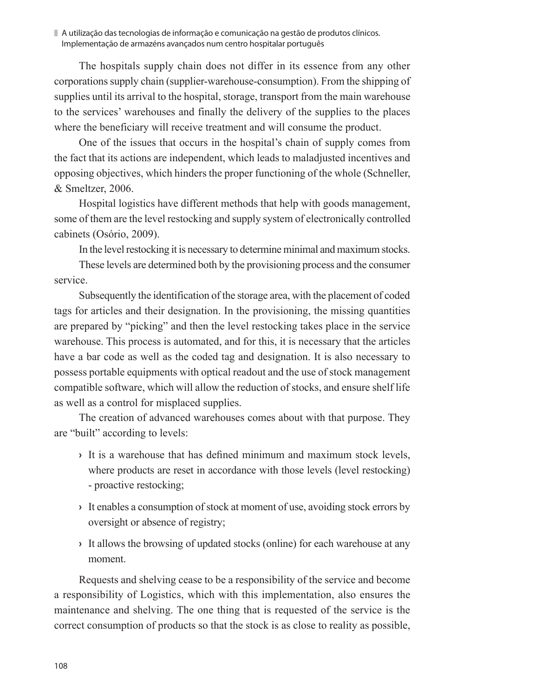The hospitals supply chain does not differ in its essence from any other corporations supply chain (supplier-warehouse-consumption). From the shipping of supplies until its arrival to the hospital, storage, transport from the main warehouse to the services' warehouses and finally the delivery of the supplies to the places where the beneficiary will receive treatment and will consume the product.

One of the issues that occurs in the hospital's chain of supply comes from the fact that its actions are independent, which leads to maladjusted incentives and opposing objectives, which hinders the proper functioning of the whole (Schneller, & Smeltzer, 2006.

Hospital logistics have different methods that help with goods management, some of them are the level restocking and supply system of electronically controlled cabinets (Osório, 2009).

In the level restocking it is necessary to determine minimal and maximum stocks.

These levels are determined both by the provisioning process and the consumer service.

Subsequently the identification of the storage area, with the placement of coded tags for articles and their designation. In the provisioning, the missing quantities are prepared by "picking" and then the level restocking takes place in the service warehouse. This process is automated, and for this, it is necessary that the articles have a bar code as well as the coded tag and designation. It is also necessary to possess portable equipments with optical readout and the use of stock management compatible software, which will allow the reduction of stocks, and ensure shelf life as well as a control for misplaced supplies.

The creation of advanced warehouses comes about with that purpose. They are "built" according to levels:

- **›** It is a warehouse that has defined minimum and maximum stock levels, where products are reset in accordance with those levels (level restocking) - proactive restocking;
- **›** It enables a consumption of stock at moment of use, avoiding stock errors by oversight or absence of registry;
- **›** It allows the browsing of updated stocks (online) for each warehouse at any moment.

Requests and shelving cease to be a responsibility of the service and become a responsibility of Logistics, which with this implementation, also ensures the maintenance and shelving. The one thing that is requested of the service is the correct consumption of products so that the stock is as close to reality as possible,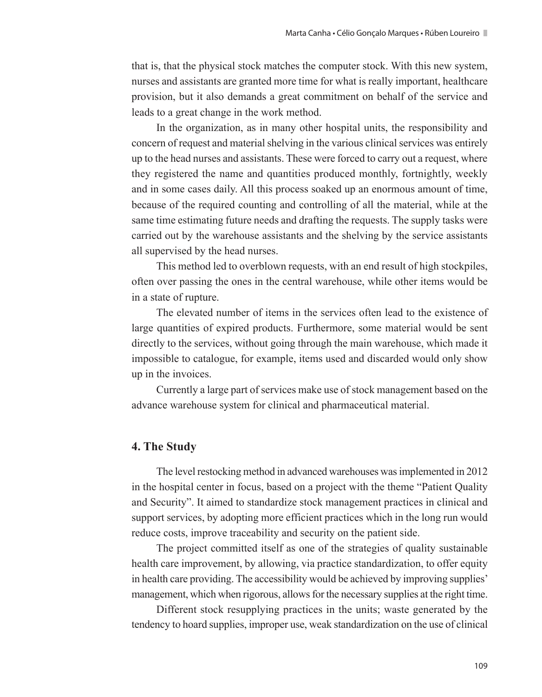that is, that the physical stock matches the computer stock. With this new system, nurses and assistants are granted more time for what is really important, healthcare provision, but it also demands a great commitment on behalf of the service and leads to a great change in the work method.

In the organization, as in many other hospital units, the responsibility and concern of request and material shelving in the various clinical services was entirely up to the head nurses and assistants. These were forced to carry out a request, where they registered the name and quantities produced monthly, fortnightly, weekly and in some cases daily. All this process soaked up an enormous amount of time, because of the required counting and controlling of all the material, while at the same time estimating future needs and drafting the requests. The supply tasks were carried out by the warehouse assistants and the shelving by the service assistants all supervised by the head nurses.

This method led to overblown requests, with an end result of high stockpiles, often over passing the ones in the central warehouse, while other items would be in a state of rupture.

The elevated number of items in the services often lead to the existence of large quantities of expired products. Furthermore, some material would be sent directly to the services, without going through the main warehouse, which made it impossible to catalogue, for example, items used and discarded would only show up in the invoices.

Currently a large part of services make use of stock management based on the advance warehouse system for clinical and pharmaceutical material.

# **4. The Study**

The level restocking method in advanced warehouses was implemented in 2012 in the hospital center in focus, based on a project with the theme "Patient Quality and Security". It aimed to standardize stock management practices in clinical and support services, by adopting more efficient practices which in the long run would reduce costs, improve traceability and security on the patient side.

The project committed itself as one of the strategies of quality sustainable health care improvement, by allowing, via practice standardization, to offer equity in health care providing. The accessibility would be achieved by improving supplies' management, which when rigorous, allows for the necessary supplies at the right time.

Different stock resupplying practices in the units; waste generated by the tendency to hoard supplies, improper use, weak standardization on the use of clinical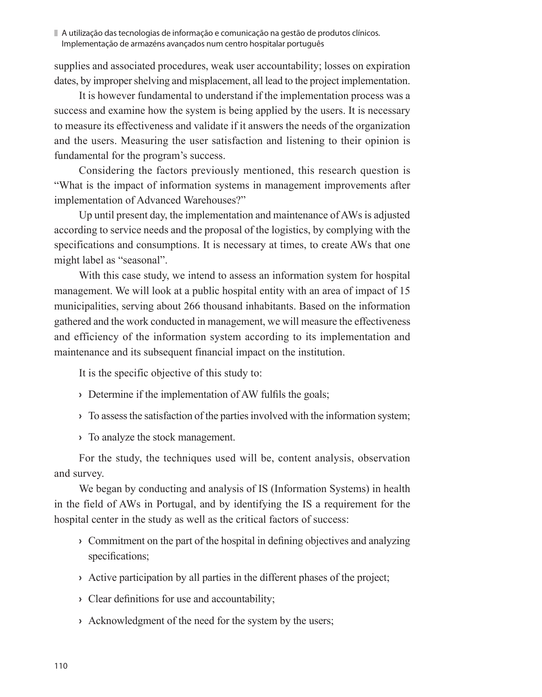A utilização das tecnologias de informação e comunicação na gestão de produtos clínicos. Implementação de armazéns avançados num centro hospitalar português

supplies and associated procedures, weak user accountability; losses on expiration dates, by improper shelving and misplacement, all lead to the project implementation.

It is however fundamental to understand if the implementation process was a success and examine how the system is being applied by the users. It is necessary to measure its effectiveness and validate if it answers the needs of the organization and the users. Measuring the user satisfaction and listening to their opinion is fundamental for the program's success.

Considering the factors previously mentioned, this research question is "What is the impact of information systems in management improvements after implementation of Advanced Warehouses?"

Up until present day, the implementation and maintenance of AWs is adjusted according to service needs and the proposal of the logistics, by complying with the specifications and consumptions. It is necessary at times, to create AWs that one might label as "seasonal".

With this case study, we intend to assess an information system for hospital management. We will look at a public hospital entity with an area of impact of 15 municipalities, serving about 266 thousand inhabitants. Based on the information gathered and the work conducted in management, we will measure the effectiveness and efficiency of the information system according to its implementation and maintenance and its subsequent financial impact on the institution.

It is the specific objective of this study to:

- **›** Determine if the implementation of AW fulfils the goals;
- **›** To assess the satisfaction of the parties involved with the information system;

**›** To analyze the stock management.

For the study, the techniques used will be, content analysis, observation and survey.

We began by conducting and analysis of IS (Information Systems) in health in the field of AWs in Portugal, and by identifying the IS a requirement for the hospital center in the study as well as the critical factors of success:

- **›** Commitment on the part of the hospital in defining objectives and analyzing specifications;
- **›** Active participation by all parties in the different phases of the project;
- **›** Clear definitions for use and accountability;
- **›** Acknowledgment of the need for the system by the users;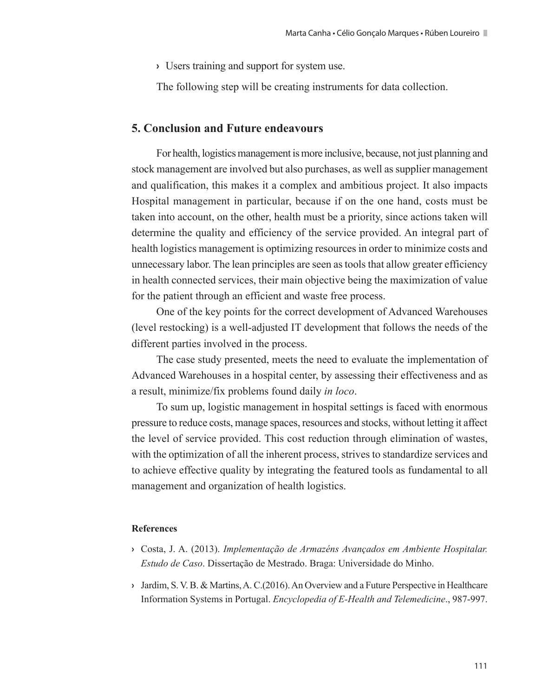**›** Users training and support for system use.

The following step will be creating instruments for data collection.

# **5. Conclusion and Future endeavours**

For health, logistics management is more inclusive, because, not just planning and stock management are involved but also purchases, as well as supplier management and qualification, this makes it a complex and ambitious project. It also impacts Hospital management in particular, because if on the one hand, costs must be taken into account, on the other, health must be a priority, since actions taken will determine the quality and efficiency of the service provided. An integral part of health logistics management is optimizing resources in order to minimize costs and unnecessary labor. The lean principles are seen as tools that allow greater efficiency in health connected services, their main objective being the maximization of value for the patient through an efficient and waste free process.

One of the key points for the correct development of Advanced Warehouses (level restocking) is a well-adjusted IT development that follows the needs of the different parties involved in the process.

The case study presented, meets the need to evaluate the implementation of Advanced Warehouses in a hospital center, by assessing their effectiveness and as a result, minimize/fix problems found daily *in loco*.

To sum up, logistic management in hospital settings is faced with enormous pressure to reduce costs, manage spaces, resources and stocks, without letting it affect the level of service provided. This cost reduction through elimination of wastes, with the optimization of all the inherent process, strives to standardize services and to achieve effective quality by integrating the featured tools as fundamental to all management and organization of health logistics.

## **References**

- **›** Costa, J. A. (2013). *Implementação de Armazéns Avançados em Ambiente Hospitalar. Estudo de Caso*. Dissertação de Mestrado. Braga: Universidade do Minho.
- **›** Jardim, S. V. B. & Martins, A. C.(2016). An Overview and a Future Perspective in Healthcare Information Systems in Portugal. *Encyclopedia of E-Health and Telemedicine*., 987-997.